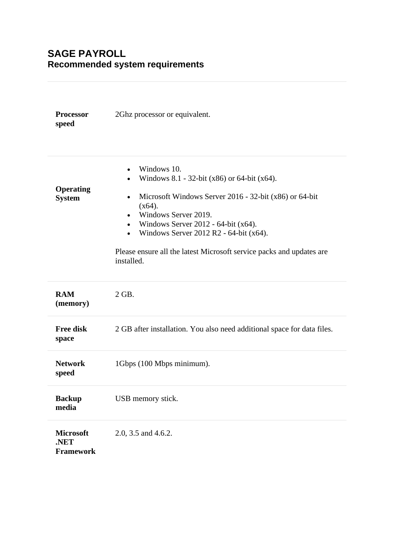# **SAGE PAYROLL Recommended system requirements**

| <b>Processor</b><br>speed                    | 2Ghz processor or equivalent.                                                                                                                                                                                                                                                                                                                                                                             |
|----------------------------------------------|-----------------------------------------------------------------------------------------------------------------------------------------------------------------------------------------------------------------------------------------------------------------------------------------------------------------------------------------------------------------------------------------------------------|
| <b>Operating</b><br><b>System</b>            | Windows 10.<br>$\bullet$<br>Windows 8.1 - 32-bit $(x86)$ or 64-bit $(x64)$ .<br>Microsoft Windows Server 2016 - 32-bit (x86) or 64-bit<br>$\bullet$<br>$(x64)$ .<br>Windows Server 2019.<br>$\bullet$<br>Windows Server 2012 - 64-bit $(x64)$ .<br>$\bullet$<br>Windows Server 2012 R2 - 64-bit (x64).<br>$\bullet$<br>Please ensure all the latest Microsoft service packs and updates are<br>installed. |
| <b>RAM</b><br>(memory)                       | 2 GB.                                                                                                                                                                                                                                                                                                                                                                                                     |
| <b>Free disk</b><br>space                    | 2 GB after installation. You also need additional space for data files.                                                                                                                                                                                                                                                                                                                                   |
| <b>Network</b><br>speed                      | 1Gbps (100 Mbps minimum).                                                                                                                                                                                                                                                                                                                                                                                 |
| <b>Backup</b><br>media                       | USB memory stick.                                                                                                                                                                                                                                                                                                                                                                                         |
| <b>Microsoft</b><br>.NET<br><b>Framework</b> | 2.0, 3.5 and 4.6.2.                                                                                                                                                                                                                                                                                                                                                                                       |